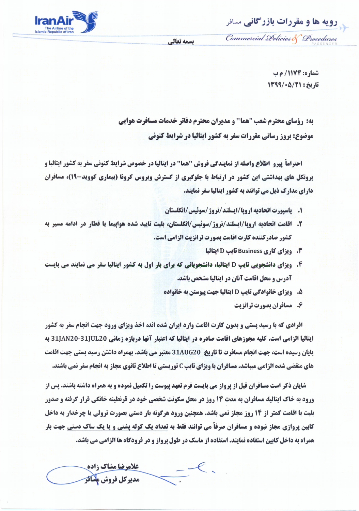**رویه ها و مقررات بازرگانی** مسافر

Commercial Policies & Procedures

بسمه تعالى



**شماره: 1174/ م ب** تاريخ : 13/50/1391

به: رؤسای محترم شعب "هما" و مدیران محترم دفاتر خدمات مسافرت هوایی **موضوع: بروز رسانی مقررات سفر به کشور ایتالیا در شرایط کنونی** 

احتراماً پیرو اطلاع واصله از نمایندگی فروش "هما" در ایتالیا در خصوص شرایط کنونی سفر به کشور ایتالیا و **یروتکل های بهداشتی این کشور در ارتباط با جلوگیری از گسترش ویروس کرونا (بیماری کووید-۱۹)، مسافران** دارای مدارک ذیل می توانند به کشور ایتالیا سفر نمایند.

- 1. پاسپورت اتحادیه اروپا/ایسلند/نروژ/سوئیس/انگلستان
- ٢. اقامت اتحادیه اروپا/ایسلند/نروژ/سوئیس/انگلستان، بلیت تایید شده هواپیما یا قطار در ادامه مسیر به کشور صادرکننده کارت اقامت بصورت ترانزیت الزامی است.
	- **3. ویزای کاری Business تایپ D ایتالیا**
- **۴. ویزای دانشجویی تایپ D ایتالیا، دانشجویانی که برای بار اول به کشور ایتالیا سفر می نمایند می بایست آدرس و محل اقامت آنان در ایتالیا مشخص باشد.** 
	- **5. ویزای خانوادگی تایپ D ایتالیا جهت پیوستن به خانواده** 
		- ۶. مسافران بصورت ترانزیت

**افرادی که با رسید پستی و بدون کارت اقامت وارد ایران شده اند، اخذ ویزای ورود جهت انجام سفر به کشور** ایتالیا الزامی است. کلیه مجوزهای اقامت صادره در ایتالیا که اعتبار آنها دربازه زمانی 31JAN20-31JUL20 به پایان رسیده است، جهت انجام مسافرت تا تاریخ 31AUG20 معتبر می باشد. بهمراه داشتن رسید پستی جهت اقامت های منقضی شده الزامی میباشد. مسافران با ویزای تایپ C توریستی تا اطلاع ثانوی مجاز به انجام سفر نمی باشند.

شایان ذکر است مسافران قبل از پرواز می بایست فرم تعهد پیوست را تکمیل نموده و به همراه داشته باشند. پس از **ورود به خاک ایتالیا، مسافران به مدت ۱۴ روز در محل سکونت شخصی خود در قرنطینه خانگی قرار گرفته و صدور بلیت با اقامت کمتر از ۱۴ روز مجاز نمی باشد. همچنین ورود هرگونه بار دستی بصورت ترولی یا چرخدار به داخل کابین پروازی مجاز نبوده و مسافران صرفاً می توانند فقط به تعداد یک کوله پشتی و یا یک ساک دستی جهت بار** همراه به داخل کابین استفاده نمایند. استفاده از ماسک در طول پرواز و در فرودگاه ها الزامی می باشد.

غلامرضا مشاک زاده مديركل فروش مسافر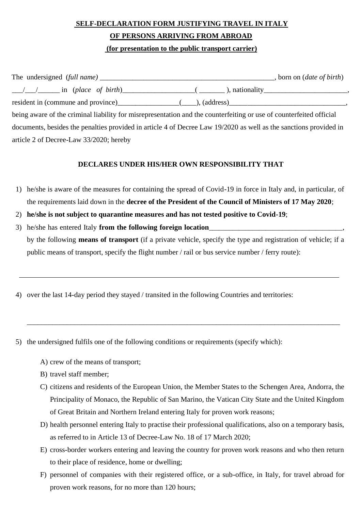## **SELF-DECLARATION FORM JUSTIFYING TRAVEL IN ITALY OF PERSONS ARRIVING FROM ABROAD (for presentation to the public transport carrier)**

|                                                                                                                                                                                                                               | born on <i>(date of birth)</i> |
|-------------------------------------------------------------------------------------------------------------------------------------------------------------------------------------------------------------------------------|--------------------------------|
| $\angle$ / / $\angle$ in (place of birth) (2000) (2000), nationality (300)                                                                                                                                                    |                                |
| resident in (commune and province) (i.e., (address) (and its support of the community of the community of the community of the community of the community of the community of the community of the community of the community |                                |
| being aware of the criminal liability for misrepresentation and the counterfeiting or use of counterfeited official                                                                                                           |                                |
| documents, besides the penalties provided in article 4 of Decree Law 19/2020 as well as the sanctions provided in                                                                                                             |                                |
| article 2 of Decree-Law 33/2020; hereby                                                                                                                                                                                       |                                |

## **DECLARES UNDER HIS/HER OWN RESPONSIBILITY THAT**

- 1) he/she is aware of the measures for containing the spread of Covid-19 in force in Italy and, in particular, of the requirements laid down in the **decree of the President of the Council of Ministers of 17 May 2020**;
- 2) **he/she is not subject to quarantine measures and has not tested positive to Covid-19**;
- 3) he/she has entered Italy **from the following foreign location** by the following **means of transport** (if a private vehicle, specify the type and registration of vehicle; if a public means of transport, specify the flight number / rail or bus service number / ferry route):

\_\_\_\_\_\_\_\_\_\_\_\_\_\_\_\_\_\_\_\_\_\_\_\_\_\_\_\_\_\_\_\_\_\_\_\_\_\_\_\_\_\_\_\_\_\_\_\_\_\_\_\_\_\_\_\_\_\_\_\_\_\_\_\_\_\_\_\_\_\_\_\_\_\_\_\_\_\_\_\_\_\_\_\_\_\_

- 4) over the last 14-day period they stayed / transited in the following Countries and territories:
- 5) the undersigned fulfils one of the following conditions or requirements (specify which):
	- A) crew of the means of transport;
	- B) travel staff member;
	- C) citizens and residents of the European Union, the Member States to the Schengen Area, Andorra, the Principality of Monaco, the Republic of San Marino, the Vatican City State and the United Kingdom of Great Britain and Northern Ireland entering Italy for proven work reasons;
	- D) health personnel entering Italy to practise their professional qualifications, also on a temporary basis, as referred to in Article 13 of Decree-Law No. 18 of 17 March 2020;
	- E) cross-border workers entering and leaving the country for proven work reasons and who then return to their place of residence, home or dwelling;
	- F) personnel of companies with their registered office, or a sub-office, in Italy, for travel abroad for proven work reasons, for no more than 120 hours;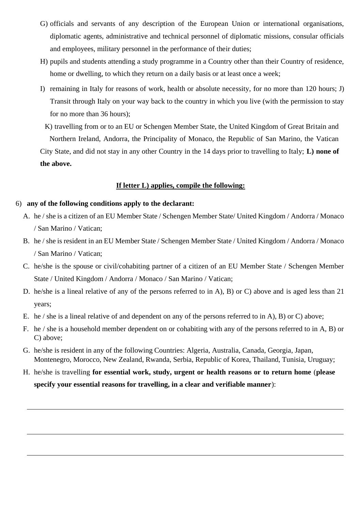- G) officials and servants of any description of the European Union or international organisations, diplomatic agents, administrative and technical personnel of diplomatic missions, consular officials and employees, military personnel in the performance of their duties;
- H) pupils and students attending a study programme in a Country other than their Country of residence, home or dwelling, to which they return on a daily basis or at least once a week;
- I) remaining in Italy for reasons of work, health or absolute necessity, for no more than 120 hours; J) Transit through Italy on your way back to the country in which you live (with the permission to stay for no more than 36 hours);

K) travelling from or to an EU or Schengen Member State, the United Kingdom of Great Britain and Northern Ireland, Andorra, the Principality of Monaco, the Republic of San Marino, the Vatican City State, and did not stay in any other Country in the 14 days prior to travelling to Italy; **L) none of the above.** 

## **If letter L) applies, compile the following:**

## 6) **any of the following conditions apply to the declarant:**

- A. he / she is a citizen of an EU Member State / Schengen Member State/ United Kingdom / Andorra / Monaco / San Marino / Vatican;
- B. he / she is resident in an EU Member State / Schengen Member State / United Kingdom / Andorra / Monaco / San Marino / Vatican;
- C. he/she is the spouse or civil/cohabiting partner of a citizen of an EU Member State / Schengen Member State / United Kingdom / Andorra / Monaco / San Marino / Vatican;
- D. he/she is a lineal relative of any of the persons referred to in A), B) or C) above and is aged less than 21 years;
- E. he / she is a lineal relative of and dependent on any of the persons referred to in A), B) or C) above;
- F. he / she is a household member dependent on or cohabiting with any of the persons referred to in A, B) or C) above;
- G. he/she is resident in any of the following Countries: Algeria, Australia, Canada, Georgia, Japan, Montenegro, Morocco, New Zealand, Rwanda, Serbia, Republic of Korea, Thailand, Tunisia, Uruguay;
- H. he/she is travelling **for essential work, study, urgent or health reasons or to return home** (**please specify your essential reasons for travelling, in a clear and verifiable manner**):